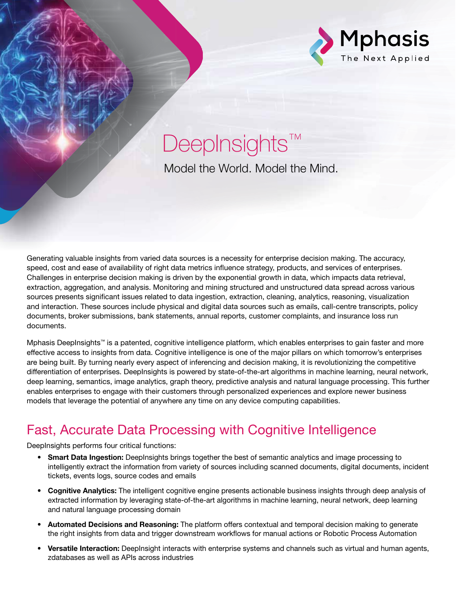

# DeepInsights™

Model the World. Model the Mind.

Generating valuable insights from varied data sources is a necessity for enterprise decision making. The accuracy, speed, cost and ease of availability of right data metrics influence strategy, products, and services of enterprises. Challenges in enterprise decision making is driven by the exponential growth in data, which impacts data retrieval, extraction, aggregation, and analysis. Monitoring and mining structured and unstructured data spread across various sources presents significant issues related to data ingestion, extraction, cleaning, analytics, reasoning, visualization and interaction. These sources include physical and digital data sources such as emails, call-centre transcripts, policy documents, broker submissions, bank statements, annual reports, customer complaints, and insurance loss run documents.

Mphasis DeepInsights™ is a patented, cognitive intelligence platform, which enables enterprises to gain faster and more effective access to insights from data. Cognitive intelligence is one of the major pillars on which tomorrow's enterprises are being built. By turning nearly every aspect of inferencing and decision making, it is revolutionizing the competitive differentiation of enterprises. DeepInsights is powered by state-of-the-art algorithms in machine learning, neural network, deep learning, semantics, image analytics, graph theory, predictive analysis and natural language processing. This further enables enterprises to engage with their customers through personalized experiences and explore newer business models that leverage the potential of anywhere any time on any device computing capabilities.

## Fast, Accurate Data Processing with Cognitive Intelligence

DeepInsights performs four critical functions:

- Smart Data Ingestion: DeepInsights brings together the best of semantic analytics and image processing to intelligently extract the information from variety of sources including scanned documents, digital documents, incident tickets, events logs, source codes and emails
- Cognitive Analytics: The intelligent cognitive engine presents actionable business insights through deep analysis of extracted information by leveraging state-of-the-art algorithms in machine learning, neural network, deep learning and natural language processing domain
- Automated Decisions and Reasoning: The platform offers contextual and temporal decision making to generate the right insights from data and trigger downstream workflows for manual actions or Robotic Process Automation
- Versatile Interaction: DeepInsight interacts with enterprise systems and channels such as virtual and human agents, zdatabases as well as APIs across industries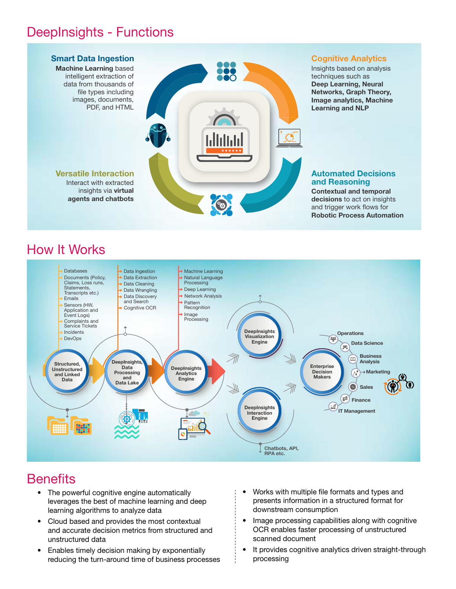#### **DeepInsights - Functions .BDIJOF-FBSOJOH**CBTFE **%FFQ\*OTJHIUT'VODUJPOT**



## How It Works



#### **Benefits**  $\frac{1}{2}$

- The powerful cognitive engine automatically leverages the best of machine learning and deep **EVERGING BOST OF HIGHING ICATING AND GC**<br>**EXCREMING ADDITION EXCREMING A**  $\bullet$  The powerful cognitive engine automatically THE POWER DOGHANG CHIGHE GALOMATIONITY<br>Lavaranas tha hast of machina laarning and daan
- Cloud based and provides the most contextual Sisted Based and provided are most completed. unstructured data
	- Enables timely decision making by exponentially reducing the turn-around time of business processes
- Works with multiple file formats and types and presents information in a structured format for presents information in a structured format for presents information in a structured formation<br>|<br>| downstream consumption V vorks with multiple life formats and type  $\pm$   $\bullet$  Works with multiple file formats and types and
	- Image processing capabilities along with cognitive mags processing superinties arring managements scanned document **EXAMPLE**S SUQHITUG QUUDHITUTT
	- It provides cognitive analytics driven straight-through processing and the state of the state of the state of the state of the state of the state of the state of the state of the state of the state of the state of the state of the state of the state of the state of the state of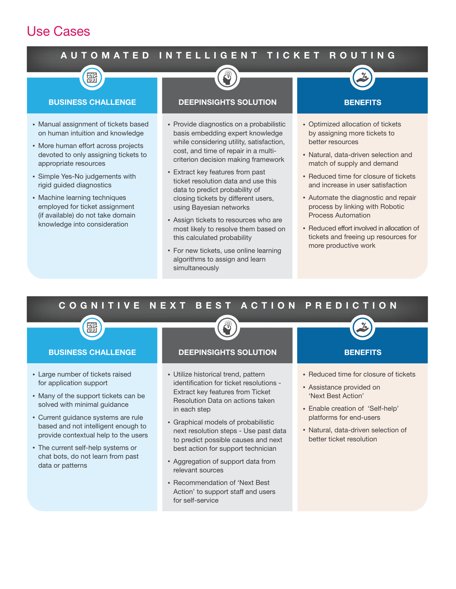## **Use Cases**

## AUTOMATED INTELLIGENT TICKET ROUTING



- Manual assignment of tickets based on human intuition and knowledge
- More human effort across projects devoted to only assigning tickets to appropriate resources
- Simple Yes-No judgements with rigid guided diagnostics
- Machine learning techniques employed for ticket assignment (if available) do not take domain knowledge into consideration



#### **DEEPINSIGHTS SOLUTION**

- Provide diagnostics on a probabilistic basis embedding expert knowledge while considering utility, satisfaction, cost, and time of repair in a multicriterion decision making framework
- Extract key features from past ticket resolution data and use this data to predict probability of closing tickets by different users, using Bayesian networks
- Assign tickets to resources who are most likely to resolve them based on this calculated probability
- For new tickets, use online learning algorithms to assign and learn simultaneously



- Optimized allocation of tickets by assigning more tickets to better resources
- Natural, data-driven selection and match of supply and demand
- Reduced time for closure of tickets and increase in user satisfaction
- Automate the diagnostic and repair process by linking with Robotic Process Automation
- Reduced effort involved in allocation of tickets and freeing up resources for more productive work

#### BEST ACTION PREDICTION COGNITIVE NEXT

#### **BUSINESS CHALLENGE**

- Large number of tickets raised for application support
- Many of the support tickets can be solved with minimal guidance
- Current guidance systems are rule based and not intelligent enough to provide contextual help to the users
- The current self-help systems or chat bots, do not learn from past data or patterns

#### **DEEPINSIGHTS SOLUTION**

- · Utilize historical trend, pattern identification for ticket resolutions -Extract key features from Ticket Resolution Data on actions taken in each step
- Graphical models of probabilistic next resolution steps - Use past data to predict possible causes and next best action for support technician
- Aggregation of support data from relevant sources
- Recommendation of 'Next Best Action' to support staff and users for self-service



- Reduced time for closure of tickets
- Assistance provided on 'Next Best Action'
- · Enable creation of 'Self-help' platforms for end-users
- · Natural, data-driven selection of better ticket resolution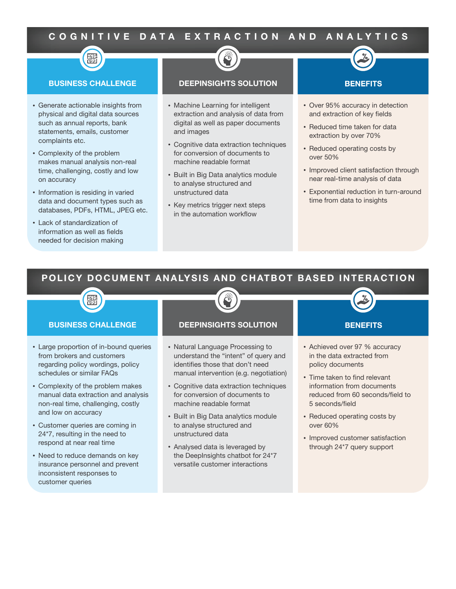## COGNITIVE DATA EXTRACTION AND ANALYTICS



- Generate actionable insights from physical and digital data sources such as annual reports, bank statements, emails, customer complaints etc.
- Complexity of the problem makes manual analysis non-real time, challenging, costly and low on accuracy
- Information is residing in varied data and document types such as databases. PDFs. HTML, JPEG etc.
- Lack of standardization of information as well as fields needed for decision making

#### **DEEPINSIGHTS SOLUTION**

- Machine Learning for intelligent extraction and analysis of data from digital as well as paper documents and images
- Cognitive data extraction techniques for conversion of documents to machine readable format
- Built in Big Data analytics module to analyse structured and unstructured data
- Key metrics trigger next steps in the automation workflow

#### **BENEFITS**

- Over 95% accuracy in detection and extraction of key fields
- Reduced time taken for data extraction by over 70%
- Reduced operating costs by over 50%
- Improved client satisfaction through near real-time analysis of data
- Exponential reduction in turn-around time from data to insights

### POLICY DOCUMENT ANALYSIS AND CHATBOT BASED INTERACTION



- Need to reduce demands on key insurance personnel and prevent inconsistent responses to customer queries
- Analysed data is leveraged by the DeepInsights chatbot for 24\*7 versatile customer interactions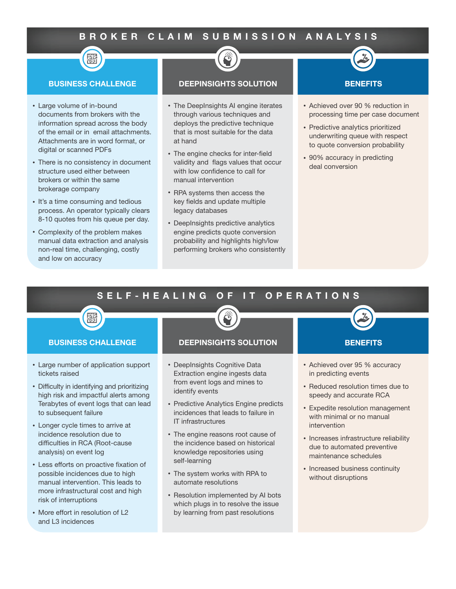### BROKER CLAIM SUBMISSION ANALYSIS



- Large volume of in-bound documents from brokers with the information spread across the body of the email or in email attachments. Attachments are in word format, or digital or scanned PDFs
- There is no consistency in document structure used either between brokers or within the same brokerage company
- It's a time consuming and tedious process. An operator typically clears 8-10 quotes from his queue per day.
- Complexity of the problem makes manual data extraction and analysis non-real time, challenging, costly and low on accuracy

#### **DEEPINSIGHTS SOLUTION**

- The DeepInsights AI engine iterates through various techniques and deploys the predictive technique that is most suitable for the data at hand
- The engine checks for inter-field validity and flags values that occur with low confidence to call for manual intervention
- RPA systems then access the key fields and update multiple legacy databases
- DeepInsights predictive analytics engine predicts quote conversion probability and highlights high/low performing brokers who consistently

#### **BENEFITS**

- Achieved over 90 % reduction in processing time per case document
- Predictive analytics prioritized underwriting queue with respect to quote conversion probability
- 90% accuracy in predicting deal conversion

#### SELF-HEALING **OPERATIONS** O F I T

#### **BUSINESS CHALLENGE**

羀

- Large number of application support tickets raised
- Difficulty in identifying and prioritizing high risk and impactful alerts among Terabytes of event logs that can lead to subsequent failure
- Longer cycle times to arrive at incidence resolution due to difficulties in RCA (Root-cause analysis) on event log
- Less efforts on proactive fixation of possible incidences due to high manual intervention. This leads to more infrastructural cost and high risk of interruptions
- More effort in resolution of L2 and L3 incidences

#### **DEEPINSIGHTS SOLUTION**

- DeepInsights Cognitive Data Extraction engine ingests data from event logs and mines to identify events
- Predictive Analytics Engine predicts incidences that leads to failure in **IT infrastructures**
- The engine reasons root cause of the incidence based on historical knowledge repositories using self-learning
- The system works with RPA to automate resolutions
- Resolution implemented by AI bots which plugs in to resolve the issue by learning from past resolutions

#### **BENEFITS**

- Achieved over 95 % accuracy in predicting events
- Reduced resolution times due to speedy and accurate RCA
- Expedite resolution management with minimal or no manual intervention
- Increases infrastructure reliability due to automated preventive maintenance schedules
- Increased business continuity without disruptions